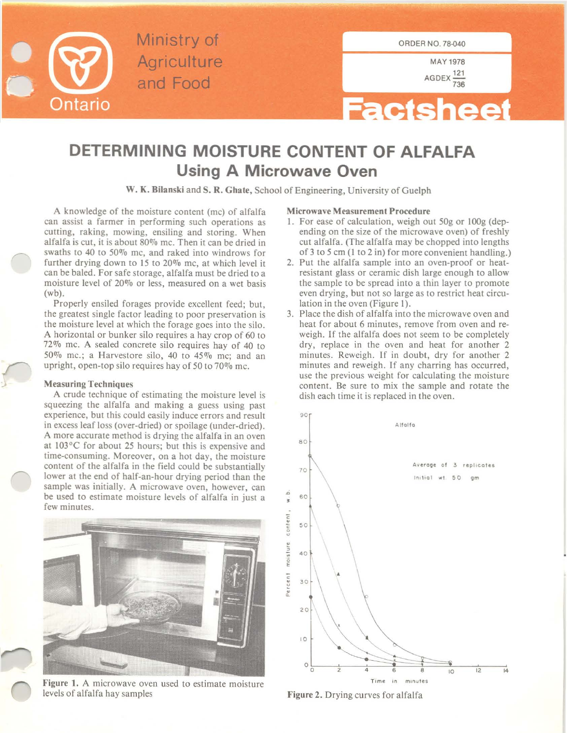

Ministry of Agriculture and Food

**MAY 1978** AGDEX  $\frac{121}{736}$ 



## **DETERMINING MOISTURE CONTENT OF ALFALFA Using A Microwave Oven**

W. K. **Bilanski** and S. R. Ghate, School of Engineering, University of Guelph

A knowledge of the moisture content (me) of alfalfa **can assist a farmer in performing such operations as cutting, raking, mowing, ensiling and storing. When** alfalfa is cut, it is about  $80\%$  mc. Then it can be dried in swaths to 40 to 50% me, and raked into windrows for further drying down to 15 to 20% me, at which level it can be baled. For safe storage, alfalfa must be dried to a moisture level of 20% or less, measured on a wet basis (wb).

Properly ensiled forages provide excellent feed; but, the greatest single factor leading to poor preservation is the moisture level at which the forage goes into the silo. A horizontal or bunker silo requires a hay crop of 60 to 72% me. A sealed concrete silo requires hay of 40 to 50% me.; a Harvestore silo, 40 to 45% me; and an upright, open-top silo requires hay of 50 to 70% me.

## Measuring Techniques

A crude technique of estimating the moisture level is squeezing the alfalfa and making a guess using past experience, but this could easily induce errors and result in excess leaf loss (over-dried) or spoilage (under-dried). A more accurate method is drying the alfalfa in an oven at 103°C for about 25 hours; but this is expensive and  $time$ -consuming. Moreover, on a hot day, the moisture content of the alfalfa in the field could be substantially lower at the end of half-an-hour drying period than the **sample was initially. A microwave oven, however, can** be used to estimate moisture levels of alfalfa in just a **few minutes.**



**Figure 1. A microwave oven used to estimate moisture** levels of alfalfa hay samples

## **Microwave Measurement Procedure**

- I. For ease of calculation, weigh out 50g or IOOg (depending on the size of the microwave oven) of freshly cut alfalfa. (The alfalfa may be chopped into lengths of 3 to 5 em (1 to 2 in) for more convenient handling.)
- 2. Put the alfalfa sample into an oven-proof or heatresistant glass or ceramic dish large enough to allow the sample to be spread into a thin layer to promote **even drying, but not so large as to restrict heat circu**lation in the oven (Figure I).
- 3. Place the dish of alfalfa into the microwave oven and **heat for about 6 minutes, remove from oven and re**weigh. If the alfalfa does not seem to be completely dry, replace in the oven and heat for another 2 minutes. Reweigh. If in doubt, dry for another 2 **minutes and reweigh. If any charring has occurred,** use the previous weight for calculating the moisture content. Be sure to mix the sample and rotate the dish each time it is replaced in the oven.



Figure 2. Drying curves for alfalfa